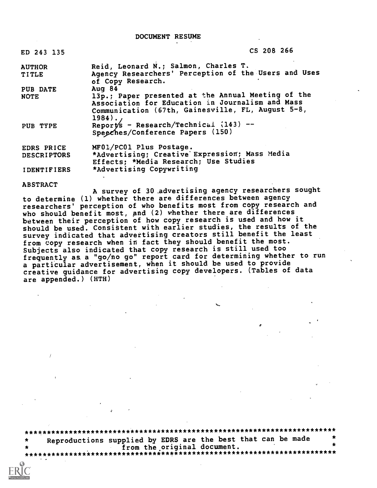DOCUMENT RESUME

| ED 243 135             | CS 208 266                                                                                                        |
|------------------------|-------------------------------------------------------------------------------------------------------------------|
| <b>AUTHOR</b><br>TITLE | Reid, Leonard N.; Salmon, Charles T.<br>Agency Researchers' Perception of the Users and Uses<br>of Copy Research. |

PUB DATE Aug 84<br>NOTE 13p.: 13p.; Paper presented at the Annual Meeting of the Association for Education in Journalism and Mass Communication (67th, Gainesville, FL, August 5-8, 1984). PUB TYPE Reports - Research/Technical  $(143)$  --Speeches/Conference Papers (150)

EDRS PRICE MF01/PC01 Plus Postage.<br>DESCRIPTORS \*Advertising; Creative \*Advertising; Creative Expression; Mass Media Effects; \*Media Research; Use Studies IDENTIFIERS \*Advertising Copywriting

ABSTRACT

A survey of 30 advertising agency researchers sought to determine (1) whether there are differences between agency researchers' perception of who benefits most from copy research and who should benefit most, and (2) whether there are differences between their perception of how copy research is used and how it should be used. Consistent with earlier studies, the results of the survey indicated that advertising creators still benefit the least from copy research when in fact they should benefit the most. Subjects also indicated that copy research is still used too frequently as a "go/no go" report card for determining whether to run a particular advertisement, when it should be used to provide creative guidance for advertising copy developers. (Tables of data are appended.) (HTH)

 $\sigma$  and  $\sigma$  and  $\sigma$ 

\*\*\*\*\*\*\*\*\*\*\*\*\*\*\*\*\*\*\*\*\*\*\*\*\*\*\*\*\*\*\*\*\*\*\*\*\*\*\*\*\*\*\*\*\*\*\*\*\*\*\*\*\*\*\*\*\*\*\*\*\*\*\*\*\*\*\*\*\*\*\* Reproductions supplied by EDRS are the best that can be made  $\star$ from the original document. \*\*\*\*\*\*\*\*\*\*\*\*\*\*.\*\*\*\*\*\*\*\*\*\*\*\*\*\*\*\*i\*\*\*\*\*\*\*\*\*\*\*\*\*\*\*\*\*\*\*\*\*\*\*\*\*\*\*\*\*\*\*\*\*\*\*\*\*\*\*\*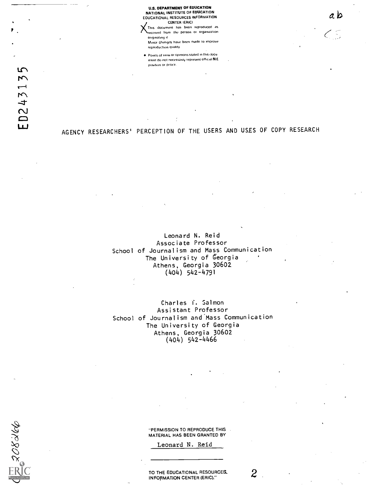U.S. DEPARTMENT OF EDUCATION NATIONAL INSTITUTE OF EDUCATION EOUCATIONAL RESOURCES INFORMATION CENTER (ERIC) This document has been reproduced as

a b

 $\zeta$ 

received from the person or organization originating it Minor changes have been made to improve reproduction quality.

Points of view or opinions stated in this rlocu ment do not necessarily represent official  $NIE$ position or policy.

**WR8027** 

# AGENCY RESEARCHERS' PERCEPTION OF THE USERS AND USES OF COPY RESEARCH

Leonard N. Reid Associate Professor School of Journalism and Mass Communication The University of Georgia Athens, Georgia 30602 (404) 542-4791

Charles f. Salmon Assistant Professor School of Journalism and Mass Communication The University of Georgia Athens, Georgia 30602 (404) 542-4466

> "PERMISSION TO REPRODUCE THIS MATERIAL HAS BEEN GRANTED BY

> > Leonard N. Reid

TO THE EDUCATIONAL RESOURCES.  $2$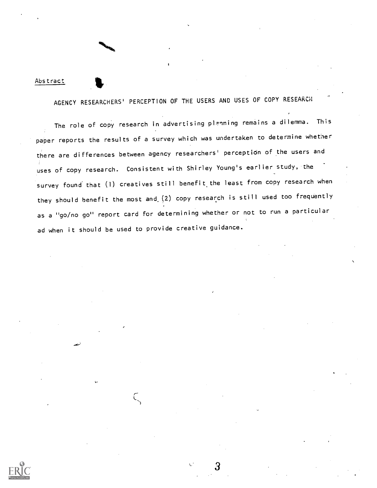## Abstract

AGENCY RESEARCHERS' PERCEPTION OF THE USERS AND USES OF COPY RESEARCH

 $\boldsymbol{\sigma}$  . The set of  $\boldsymbol{\sigma}$ 

The role of copy research in advertising planning remains a dilemma. This paper reports the results of a survey which was undertaken to determine whether there are differences between agency researchers' perception of the users and uses of copy research. Consistent with Shirley Young's earlier study, the survey found that (1) creatives still benefit the least from copy research when they should benefit the most and.(2) copy research is still used too frequently as a "go/no go" report card for determining whether or not to run a particular ad when it should be used to provide creative guidance.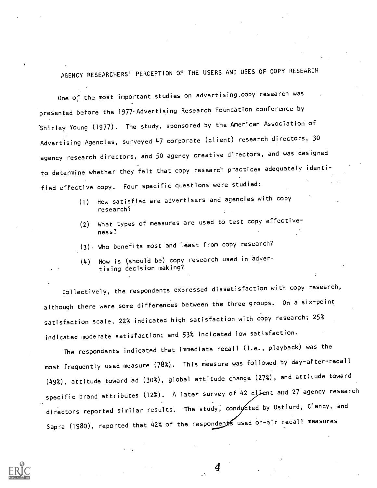AGENCY RESEARCHERS' PERCEPTION OF THE USERS AND USES OF COPY RESEARCH

One of the most important studies on advertising copy research was presented before the 1977 Advertising Research Foundation conference by Shirley Young (1977). The study, sponsored by the American Association of Advertising Agencies, surveyed 47 corporate (client) research directors, 30 agency research directors, and 50 agency creative directors, and was designed to determine whether they felt that copy research practices adequately identified effective copy. Four specific questions were studied:

- (1) How satisfied are advertisers and agencies with copy research?
- (2) What types of measures are used to test copy effectiveness?
- (3), Who benefits most and least from copy research?
- (4) How is (should be) copy research used in advertising decision making?

Collectively, the respondents expressed dissatisfaction with copy research, although there were some differences between the three groups. On a six-point satisfaction scale, 22% indicated high satisfaction with copy research; 25% indicated moderate satisfaction; and 53% indicated low satisfaction.

The respondents indicated that immediate recall (i.e., playback) was the most frequently used measure (78%). This measure was followed by day-after-recall  $(49%)$ , attitude toward ad  $(30%)$ , global attitude change  $(27%)$ , and attitude toward specific brand attributes (12%). A later survey of 42 client and 27 agency research directors reported similar results. The study, conducted by Ostlund, Clancy, and Sapra (1980), reported that 42% of the respondents used on-air recall measures

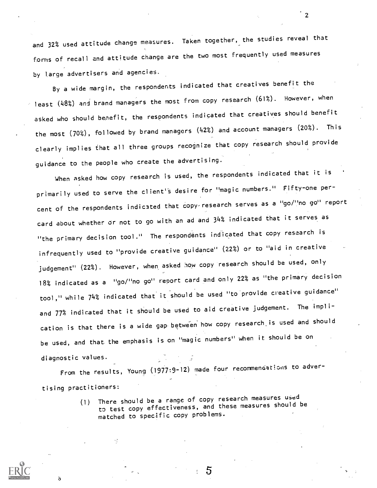and 32% used attitude change measures. Taken together, the studies reveal that forms of recall and attitude change are the two most frequently used measures by large advertisers and agencies.

2

By a wide margin, the respondents indicated that creatives benefit the least (48%) and brand managers the most from copy research (61%). However, when asked who should benefit, the respondents indicated that creatives should benefit the most (70%), followed by brand managers (42%) and account managers (20%). This clearly implies that all three groups recognize that copy research should provide guidance to the people who create the advertising.

When asked how copy research is used, the respondents indicated that it is primarily used to serve the client's desire for "magic numbers." Fifty-one percent of the respondents indicated that copy research serves as a "go/"no go" report card about whether or not to go with an ad and 34% indicated that it serves as "the primary decision tool." The respondents indicated that copy research is infrequently used to "provide creative guidance" (22%) or to "aid in creative judgement" (22%). However, when asked how copy research should be used, only 18% indicated as a "go/"no go" report card and only 22? as "the primary decision tool," while 74% indicated that it should be used "to provide creative guidance" and 77% indicated that it should be used to aid creative judgement. The implication is that there is a wide gap. between' how copy research.is used and should be used, and that. the emphasis is on "magic numbers" when it should be on diagnostic values.

From the results, Young (1977:9-12) made four recommendations to advertising practitioners:

> (1) There should be a range of copy research measures used to test copy effectiveness, and these measures should be matched to specific copy problems.

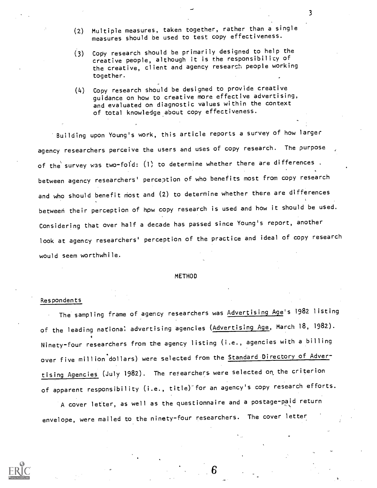- (2) Multiple measures, taken together, rather than a single measures should be used to test copy effectiveness.
- (3) Copy research should be primarily designed to help the creative people, although it is the responsibility of the creative, client and agency research people working together.
- (4) Copy research should be designed to provide creative guidance on how to creative more effective advertising, and evaluated on diagnostic values within the context of total knowledge about copy effectiveness.

Building upon Young's work, this article reports a survey of how larger agency researchers perceive the users and uses of copy research. The purpose of the survey was two-fold: (1) to determine whether there are differences. between agency researchers' perception of who benefits most from copy research and who should benefit most and (2) to determine whether there are differences between their perception of how copy research is used and how it should be used. Considering that over half a decade has passed since Young's report, another look at agency researchers' perception of the practice and ideal of copy research would seem worthwhile.

#### METHOD

#### Respondents

The sampling frame of agency researchers was Advertising Age's 1982 listing of the leading national advertising agencies (Advertising Age, March 18, 1982). Ninety-four researchers from the agency listing (i.e., agencies with a billing over five million dollars) were selected from the Standard Directory of Advertising Agencies (July 1982). The researchers were selected on the criterion of apparent responsibility (i.e., title). for an agency's copy research efforts.

A cover letter, as well as the questionnaire and a postage-paid return envelope, were mailed to the ninety-four researchers. The cover letter

Б

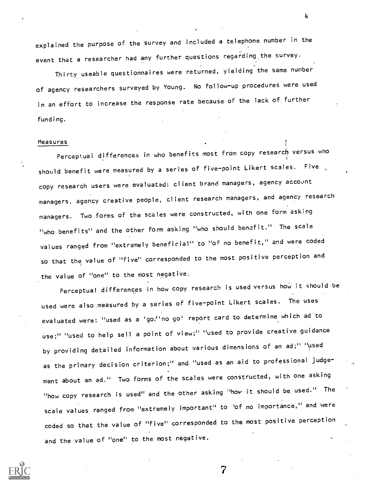explained the purpose of the survey and included a telephone number in the event that a researcher had any further questions regarding the survey.

Thirty useable questionnaires were returned, yielding the same number of agency researchers surveyed by Young. No follow-up procedures were used in an effort to increase the response rate because of the lack of further funding.

#### Measures

Perceptual differences in who benefits most from copy research versus who should benefit were measured by a series of five-point Likert scales. Five copy research users were evaluated: client brand managers, agency account managers, agency creative people, client research managers, and agency research managers. Two forms of the scales were constructed, with one form asking "who benefits" and the other form asking "who should benefit." The scale values ranged from "extremely beneficial" to "of no benefit," and were coded so that the value of "five" corresponded to the most positive perception and the value of "one" to the most negative.

Perceptual differences in how copy research is used versus how it should be used were also measured by a series of five-point Likert scales. The uses evaluated were: "used as a 'go,''no go' report card to determine which ad to use;" "used to help sell a point of view;" "used to provide creative guidance by providing detailed information about various dimensions of an ad;" "used as the primary decision criterion;" and "used as an aid to professional judgement about an ad." Two forms of the scales were constructed, with one asking "how copy research is used" and the other asking "how it should be used." The scale values ranged from "extremely important" to 'of no importance," and were coded so that the value of "five" corresponded to the most positive perception and the value of "one" to the most negative.

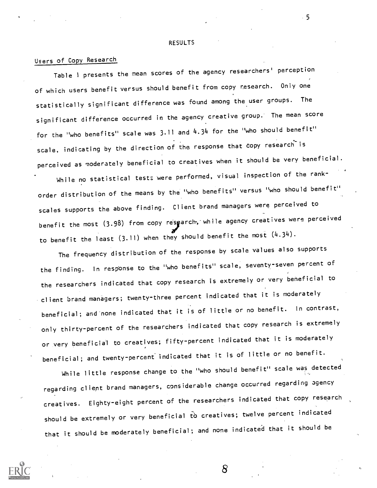RESULTS

## Users of Copy Research

Table <sup>1</sup> presents the mean scores of the agency researchers' perception of which users benefit versus should benefit from copy research. Only one statistically significant difference was found among the user groups. The significant difference occurred in the agency creative group. The mean score for the "who benefits" scale was 3.11 and 4.34 for the "who should benefit" scale, indicating by the direction of the response that copy research is perceived as moderately beneficial to creatives when it should be very beneficial.

While no statistical tests were performed, visual inspection of the rankorder distribution of the means by the "who benefits" versus "who should benefit" scales supports the above finding. Client brand managers were perceived to benefit the most  $(3.98)$  from copy resgarch, while agency creatives were perceived to benefit the least  $(3.11)$  when they should benefit the most  $(4.34)$ .

The frequency distribution of the response by scale values also supports the finding. In response to the "who benefits" scale, seventy-seven percent of the researchers indicated that copy research is extremely or very beneficial to client brand managers; twenty-three percent indicated that it is moderately beneficial; and'none indicated that it is of little or no benefit. In contrast, only thirty-percent of the researchers indicated that copy research is extremely or very beneficial to creatives; fifty-percent indicated that it is moderately beneficial; and twenty-percent' indicated that it is of little or no benefit.

While little response change to the "who should benefit" scale was detected regarding client brand managers, considerable change occurred regarding agency creatives. Eighty-eight percent of the researchers indicated that copy research should be extremely or very beneficial to creatives; twelve percent indicated that it should be moderately beneficial; and none indicated that it should be

5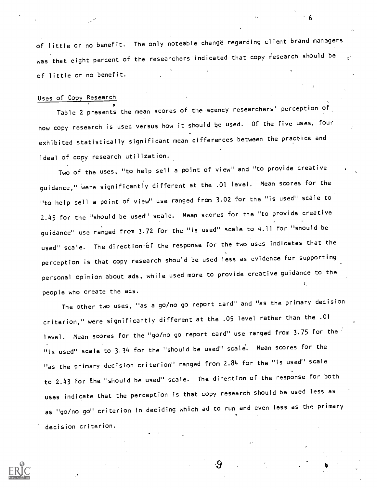of little or no benefit. The only noteable change regarding client brand managers was that eight percent of the researchers indicated that copy research should be  $\frac{1}{3}$ of little or no benefit.

## Uses of Copy Research

Table 2 presents the mean scores of the agency researchers' perception of how copy research is used versus how it should be used. Of the five uses, four exhibited statistically significant mean differences between the practice and ideal of copy research utilization.

Two of the uses, "to help sell a point of view" and "to provide creative guidance," were significantly different at the .01 level. Mean scores for the "to help sell a point of view" use ranged from 3.02 for the "is used" scale to 2.45 for the "should be used" scale. Mean scores for the "to provide creative guidance" use ranged from 3.72 for the "is used" scale to 4.11 for "should be used" scale. The direction of the response for the two uses indicates that the perception is that copy research should be used less as evidence for supporting personal opinion about ads, while used more to provide creative guidance to the people who create the ads.

The other two uses, "as a go/no go report card" and "as the primary decision criterion," were significantly different at the .05 level rather than the .01 level. Mean scores for the "go/no go report card" use ranged from 3.75 for the "is used" scale to 3.34 for the "should be used" scale. Mean scores for the "as the primary decision criterion" ranged from 2.84 for the "is used" scale to 2.43 For the "should be used" scale. The direction of the response for both uses indicate that the perception is that copy research should be used less as as "go/no go" criterion in deciding which ad to run and even less as the primary decision criterion.

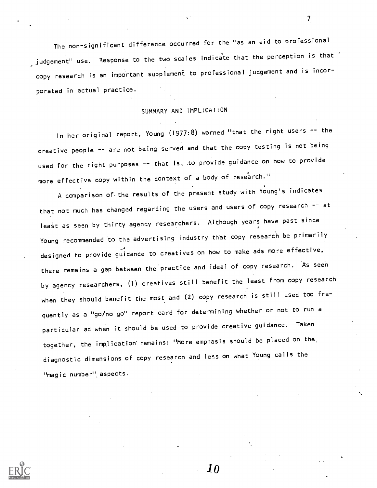The non-significant difference occurred for the "as an aid to professional , judgement" use. Response to the two scales indicate that the perception is that  $^{\circ}$ copy research is an important supplement to professional judgement and is incorporated in actual practice.

## SUMMARY AND IMPLICATION

In her original report, Young (1977:8) warned "that the right users -- the creative people -- are not being served and that the copy testing is not being used for the right purposes -- that is, to provide guidance on how to provide more effective copy within the context of a body of research."

A comparison of the results of the present study with Young's indicates that not much has changed regarding the users and users of copy research -- at least as seen by thirty agency researchers. Although years have past since Young recommended to the advertising industry that copy research be primarily designed to provide guidance to creatives on how to make ads more effective, there remains a gap between the practice and ideal of copy research. As seen by agency researchers, (1) creatives still benefit the least from copy research when they should benefit the most and (2) copy research is still used too frequently as a "go/no go" report card for determining whether or not to run a particular ad when it should be used to provide creative guidance. Taken together, the implication'remains: "More emphasis should be placed on the, diagnostic dimensions of copy research and less on what Young calls the "magic number" aspects.

10

 $\overline{7}$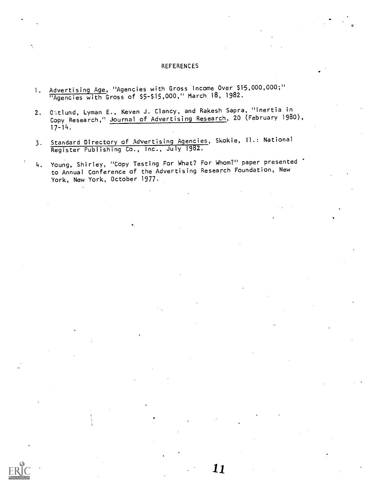## REFERENCES

- 1. Advertising Age, "Agencies with Gross Income Over \$15,000,000;" "Agencies with Gross of \$5-\$15,000," March 18, 1982.
- 2. 05tlund, Lyman E., Keven J. Clancy, and Rakesh Sapra, "Inertia in Copy Research," Journal of Advertising Research, 20 (February 1980), 17-14.
- 3. Standard Directory of Advertising Agencies, Skokie, 11.: National Register Publishing Co., Inc., July 1982.
- 4. Young, Shirley, "Copy Testing For What? For Whom?" paper presented . to Annual Conference of the Advertising Research Foundation, New York, New York, October 1977.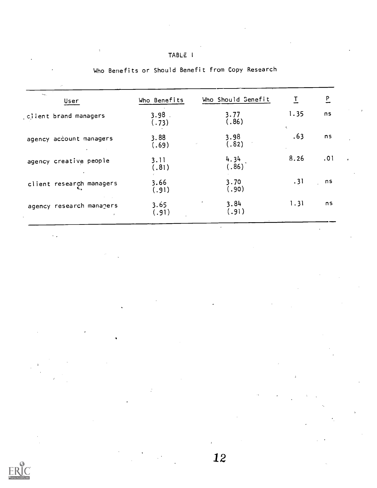| Who Benefits  | Who Should Senefit | 工    | $\overline{P}$ |           |
|---------------|--------------------|------|----------------|-----------|
| 3.98<br>(.73) | 3.77<br>(.86)      | 1.35 | ns             |           |
| 3.88<br>(.69) | 3.98<br>(.82)      | .63  | n <sub>S</sub> |           |
| 3.11<br>(.81) | 4.34<br>(.86)      | 8.26 | .01            | $\bullet$ |
| 3.66<br>(.91) | 3.70<br>(.90)      | .31  | n <sub>S</sub> |           |
| 3.65<br>(.91) | 3.84<br>(.91)      | 1.31 | n <sub>S</sub> |           |
|               |                    |      | ÷.             |           |

|  |  |  |  |  |  |  | Who Benefits or Should Benefit from Copy Research |
|--|--|--|--|--|--|--|---------------------------------------------------|
|--|--|--|--|--|--|--|---------------------------------------------------|

TABLE <sup>I</sup>

 $\ddot{\phantom{a}}$ 

 $\mathcal{L}^{\text{eff}}$